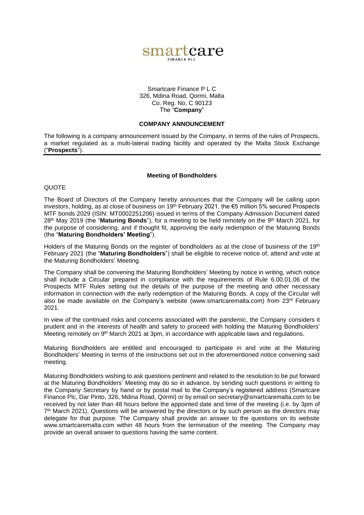

## Smartcare Finance P L C 326, Mdina Road, Qormi, Malta Co. Reg. No. C 90123 The "**Company**"

## **COMPANY ANNOUNCEMENT**

The following is a company announcement issued by the Company, in terms of the rules of Prospects, a market regulated as a multi-lateral trading facility and operated by the Malta Stock Exchange ("**Prospects**").

## **Meeting of Bondholders**

## **QUOTE**

The Board of Directors of the Company hereby announces that the Company will be calling upon investors, holding, as at close of business on 19th February 2021, the €5 million 5% secured Prospects MTF bonds 2029 (ISIN: MT0002251206) issued in terms of the Company Admission Document dated 28<sup>th</sup> May 2019 (the "**Maturing Bonds**"), for a meeting to be held remotely on the 9<sup>th</sup> March 2021, for the purpose of considering, and if thought fit, approving the early redemption of the Maturing Bonds (the "**Maturing Bondholders' Meeting**").

Holders of the Maturing Bonds on the register of bondholders as at the close of business of the 19<sup>th</sup> February 2021 (the "**Maturing Bondholders**") shall be eligible to receive notice of, attend and vote at the Maturing Bondholders' Meeting.

The Company shall be convening the Maturing Bondholders' Meeting by notice in writing, which notice shall include a Circular prepared in compliance with the requirements of Rule 6.00.01.06 of the Prospects MTF Rules setting out the details of the purpose of the meeting and other necessary information in connection with the early redemption of the Maturing Bonds. A copy of the Circular will also be made available on the Company's website (www.smartcaremalta.com) from 23rd February 2021.

In view of the continued risks and concerns associated with the pandemic, the Company considers it prudent and in the interests of health and safety to proceed with holding the Maturing Bondholders' Meeting remotely on 9<sup>th</sup> March 2021 at 3pm, in accordance with applicable laws and regulations.

Maturing Bondholders are entitled and encouraged to participate in and vote at the Maturing Bondholders' Meeting in terms of the instructions set out in the aforementioned notice convening said meeting.

Maturing Bondholders wishing to ask questions pertinent and related to the resolution to be put forward at the Maturing Bondholders' Meeting may do so in advance, by sending such questions in writing to the Company Secretary by hand or by postal mail to the Company's registered address (Smartcare Finance Plc, Dar Pinto, 326, Mdina Road, Qormi) or by email on [secretary@smartcaremalta.com](mailto:secretary@smartcaremalta.com) to be received by not later than 48 hours before the appointed date and time of the meeting (i.e. by 3pm of  $7<sup>th</sup>$  March 2021). Questions will be answered by the directors or by such person as the directors may delegate for that purpose. The Company shall provide an answer to the questions on its website www.smartcaremalta.com within 48 hours from the termination of the meeting. The Company may provide an overall answer to questions having the same content.